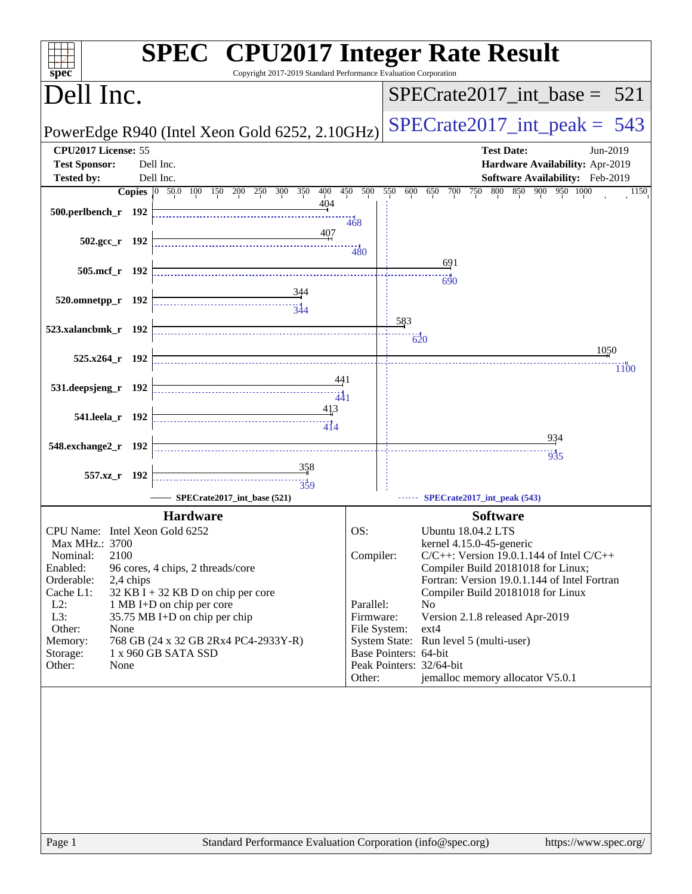| Copyright 2017-2019 Standard Performance Evaluation Corporation<br>$spec^*$                                                                                                                                                                                                                                                                                                                                  | <b>SPEC<sup>®</sup></b> CPU2017 Integer Rate Result                                                                                                                                                                                                                                                                                                                                                                                                                                           |
|--------------------------------------------------------------------------------------------------------------------------------------------------------------------------------------------------------------------------------------------------------------------------------------------------------------------------------------------------------------------------------------------------------------|-----------------------------------------------------------------------------------------------------------------------------------------------------------------------------------------------------------------------------------------------------------------------------------------------------------------------------------------------------------------------------------------------------------------------------------------------------------------------------------------------|
| Dell Inc.                                                                                                                                                                                                                                                                                                                                                                                                    | $SPECTate2017\_int\_base = 521$                                                                                                                                                                                                                                                                                                                                                                                                                                                               |
| PowerEdge R940 (Intel Xeon Gold 6252, 2.10GHz)                                                                                                                                                                                                                                                                                                                                                               | $SPECrate2017\_int\_peak = 543$                                                                                                                                                                                                                                                                                                                                                                                                                                                               |
| CPU2017 License: 55<br><b>Test Sponsor:</b><br>Dell Inc.                                                                                                                                                                                                                                                                                                                                                     | <b>Test Date:</b><br>Jun-2019<br>Hardware Availability: Apr-2019                                                                                                                                                                                                                                                                                                                                                                                                                              |
| Dell Inc.<br><b>Tested by:</b>                                                                                                                                                                                                                                                                                                                                                                               | Software Availability: Feb-2019                                                                                                                                                                                                                                                                                                                                                                                                                                                               |
| Copies 0 50.0 100 150 200 250 300 350<br>400<br>404<br>500.perlbench_r 192<br>407                                                                                                                                                                                                                                                                                                                            | 450 500 550<br>800 850 900 950 1000<br>600<br>650<br>700<br>750<br>1150<br>$-468$                                                                                                                                                                                                                                                                                                                                                                                                             |
| $502.\text{gcc r}$ 192                                                                                                                                                                                                                                                                                                                                                                                       | 480                                                                                                                                                                                                                                                                                                                                                                                                                                                                                           |
| 505.mcf_r 192                                                                                                                                                                                                                                                                                                                                                                                                | 691<br>690                                                                                                                                                                                                                                                                                                                                                                                                                                                                                    |
| 344<br>520.omnetpp_r 192<br>344                                                                                                                                                                                                                                                                                                                                                                              |                                                                                                                                                                                                                                                                                                                                                                                                                                                                                               |
| 523.xalancbmk_r 192                                                                                                                                                                                                                                                                                                                                                                                          | 583<br>$\overline{620}$                                                                                                                                                                                                                                                                                                                                                                                                                                                                       |
| 525.x264_r 192                                                                                                                                                                                                                                                                                                                                                                                               | 1050<br>1100                                                                                                                                                                                                                                                                                                                                                                                                                                                                                  |
| 441<br>531.deepsjeng_r 192<br>441                                                                                                                                                                                                                                                                                                                                                                            |                                                                                                                                                                                                                                                                                                                                                                                                                                                                                               |
| 413<br>541.leela r 192<br>414                                                                                                                                                                                                                                                                                                                                                                                |                                                                                                                                                                                                                                                                                                                                                                                                                                                                                               |
| 548.exchange2_r 192                                                                                                                                                                                                                                                                                                                                                                                          | 934                                                                                                                                                                                                                                                                                                                                                                                                                                                                                           |
|                                                                                                                                                                                                                                                                                                                                                                                                              | 935                                                                                                                                                                                                                                                                                                                                                                                                                                                                                           |
| 358<br>557.xz_r 192<br>359                                                                                                                                                                                                                                                                                                                                                                                   |                                                                                                                                                                                                                                                                                                                                                                                                                                                                                               |
| SPECrate2017_int_base (521)                                                                                                                                                                                                                                                                                                                                                                                  | SPECrate2017_int_peak (543)                                                                                                                                                                                                                                                                                                                                                                                                                                                                   |
| <b>Hardware</b>                                                                                                                                                                                                                                                                                                                                                                                              | <b>Software</b>                                                                                                                                                                                                                                                                                                                                                                                                                                                                               |
| CPU Name: Intel Xeon Gold 6252<br>Max MHz.: 3700<br>2100<br>Nominal:<br>Enabled:<br>96 cores, 4 chips, 2 threads/core<br>Orderable:<br>2,4 chips<br>32 KB I + 32 KB D on chip per core<br>Cache L1:<br>$L2$ :<br>1 MB I+D on chip per core<br>L3:<br>35.75 MB I+D on chip per chip<br>Other:<br>None<br>768 GB (24 x 32 GB 2Rx4 PC4-2933Y-R)<br>Memory:<br>1 x 960 GB SATA SSD<br>Storage:<br>Other:<br>None | OS:<br><b>Ubuntu 18.04.2 LTS</b><br>kernel 4.15.0-45-generic<br>Compiler:<br>$C/C++$ : Version 19.0.1.144 of Intel $C/C++$<br>Compiler Build 20181018 for Linux;<br>Fortran: Version 19.0.1.144 of Intel Fortran<br>Compiler Build 20181018 for Linux<br>Parallel:<br>No<br>Firmware:<br>Version 2.1.8 released Apr-2019<br>File System:<br>ext4<br>System State: Run level 5 (multi-user)<br>Base Pointers: 64-bit<br>Peak Pointers: 32/64-bit<br>jemalloc memory allocator V5.0.1<br>Other: |
| Standard Performance Evaluation Corporation (info@spec.org)<br>Page 1                                                                                                                                                                                                                                                                                                                                        | https://www.spec.org/                                                                                                                                                                                                                                                                                                                                                                                                                                                                         |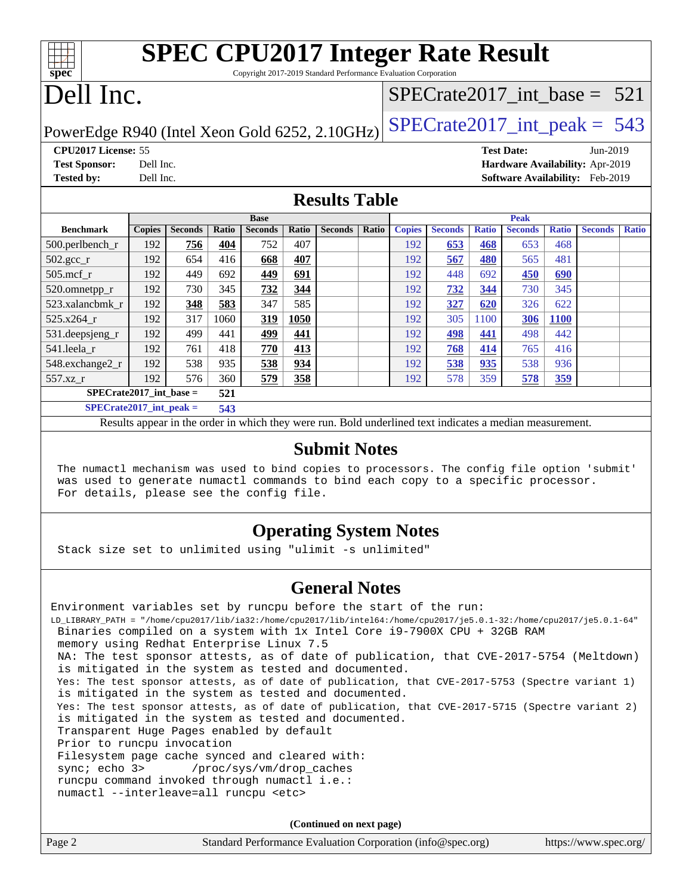| $Spec^*$                   | <b>SPEC CPU2017 Integer Rate Result</b><br>Copyright 2017-2019 Standard Performance Evaluation Corporation |                                        |          |
|----------------------------|------------------------------------------------------------------------------------------------------------|----------------------------------------|----------|
| Dell Inc.                  |                                                                                                            | $SPECrate2017\_int\_base = 521$        |          |
|                            | PowerEdge R940 (Intel Xeon Gold 6252, 2.10GHz)                                                             | $ SPECrate2017_int\_peak = 543$        |          |
| <b>CPU2017 License: 55</b> |                                                                                                            | <b>Test Date:</b>                      | Jun-2019 |
| <b>Test Sponsor:</b>       | Dell Inc.                                                                                                  | Hardware Availability: Apr-2019        |          |
| <b>Tested by:</b>          | Dell Inc.                                                                                                  | <b>Software Availability:</b> Feb-2019 |          |

### **[Results Table](http://www.spec.org/auto/cpu2017/Docs/result-fields.html#ResultsTable)**

|                               | <b>Base</b>   |                |       |                |       | <b>Peak</b>    |              |               |                |              |                |              |                |              |
|-------------------------------|---------------|----------------|-------|----------------|-------|----------------|--------------|---------------|----------------|--------------|----------------|--------------|----------------|--------------|
| <b>Benchmark</b>              | <b>Copies</b> | <b>Seconds</b> | Ratio | <b>Seconds</b> | Ratio | <b>Seconds</b> | <b>Ratio</b> | <b>Copies</b> | <b>Seconds</b> | <b>Ratio</b> | <b>Seconds</b> | <b>Ratio</b> | <b>Seconds</b> | <b>Ratio</b> |
| $500.$ perlbench_r            | 192           | 756            | 404   | 752            | 407   |                |              | 192           | 653            | 468          | 653            | 468          |                |              |
| $502.\text{gcc}$ <sub>r</sub> | 192           | 654            | 416   | 668            | 407   |                |              | 192           | 567            | 480          | 565            | 481          |                |              |
| $505$ .mcf r                  | 192           | 449            | 692   | 449            | 691   |                |              | 192           | 448            | 692          | 450            | 690          |                |              |
| 520.omnetpp_r                 | 192           | 730            | 345   | 732            | 344   |                |              | 192           | 732            | 344          | 730            | 345          |                |              |
| 523.xalancbmk r               | 192           | 348            | 583   | 347            | 585   |                |              | 192           | 327            | 620          | 326            | 622          |                |              |
| 525.x264 r                    | 192           | 317            | 1060  | 319            | 1050  |                |              | 192           | 305            | 1100         | 306            | 1100         |                |              |
| 531.deepsjeng_r               | 192           | 499            | 441   | 499            | 441   |                |              | 192           | 498            | 441          | 498            | 442          |                |              |
| 541.leela r                   | 192           | 761            | 418   | 770            | 413   |                |              | 192           | 768            | 414          | 765            | 416          |                |              |
| 548.exchange2_r               | 192           | 538            | 935   | 538            | 934   |                |              | 192           | 538            | 935          | 538            | 936          |                |              |
| 557.xz r                      | 192           | 576            | 360   | 579            | 358   |                |              | 192           | 578            | 359          | 578            | <u>359</u>   |                |              |
| $SPECrate2017$ int base =     |               |                | 521   |                |       |                |              |               |                |              |                |              |                |              |
| $SPECrate2017$ _int_peak =    |               |                | 543   |                |       |                |              |               |                |              |                |              |                |              |

Results appear in the [order in which they were run](http://www.spec.org/auto/cpu2017/Docs/result-fields.html#RunOrder). Bold underlined text [indicates a median measurement](http://www.spec.org/auto/cpu2017/Docs/result-fields.html#Median).

### **[Submit Notes](http://www.spec.org/auto/cpu2017/Docs/result-fields.html#SubmitNotes)**

 The numactl mechanism was used to bind copies to processors. The config file option 'submit' was used to generate numactl commands to bind each copy to a specific processor. For details, please see the config file.

### **[Operating System Notes](http://www.spec.org/auto/cpu2017/Docs/result-fields.html#OperatingSystemNotes)**

Stack size set to unlimited using "ulimit -s unlimited"

### **[General Notes](http://www.spec.org/auto/cpu2017/Docs/result-fields.html#GeneralNotes)**

Environment variables set by runcpu before the start of the run: LD\_LIBRARY\_PATH = "/home/cpu2017/lib/ia32:/home/cpu2017/lib/intel64:/home/cpu2017/je5.0.1-32:/home/cpu2017/je5.0.1-64" Binaries compiled on a system with 1x Intel Core i9-7900X CPU + 32GB RAM memory using Redhat Enterprise Linux 7.5 NA: The test sponsor attests, as of date of publication, that CVE-2017-5754 (Meltdown) is mitigated in the system as tested and documented. Yes: The test sponsor attests, as of date of publication, that CVE-2017-5753 (Spectre variant 1) is mitigated in the system as tested and documented. Yes: The test sponsor attests, as of date of publication, that CVE-2017-5715 (Spectre variant 2) is mitigated in the system as tested and documented. Transparent Huge Pages enabled by default Prior to runcpu invocation Filesystem page cache synced and cleared with: sync; echo 3> /proc/sys/vm/drop\_caches runcpu command invoked through numactl i.e.: numactl --interleave=all runcpu <etc>

**(Continued on next page)**

| Page 2<br>Standard Performance Evaluation Corporation (info@spec.org) | https://www.spec.org/ |
|-----------------------------------------------------------------------|-----------------------|
|-----------------------------------------------------------------------|-----------------------|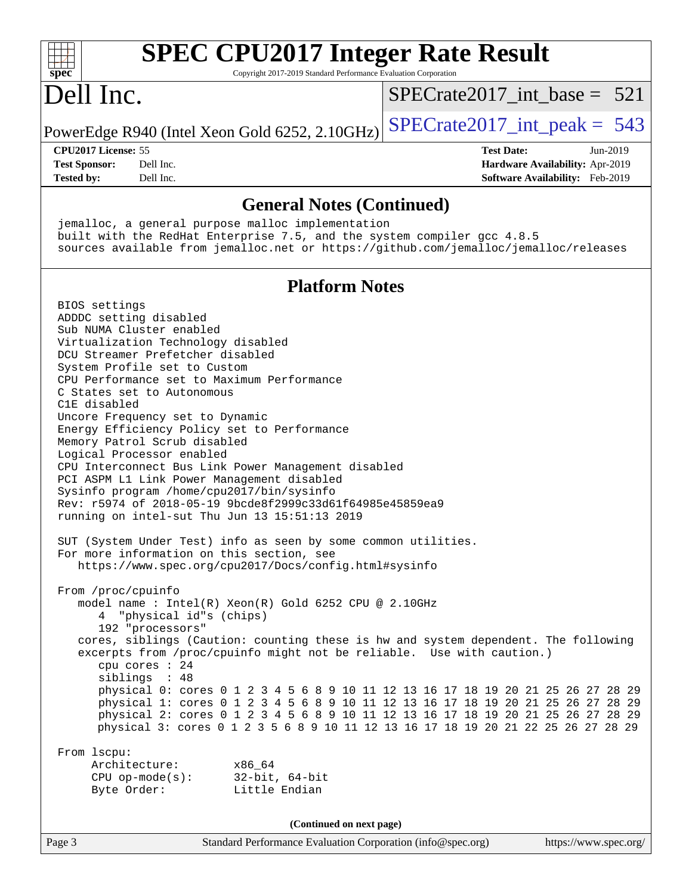| <b>SPEC CPU2017 Integer Rate Result</b><br>Copyright 2017-2019 Standard Performance Evaluation Corporation<br>$spec^*$                                                                                                                                                                                                                                                                                                                                                                                                                                                                                                                                                                                                                                                                                                                                                                                                                                                                                                                                                                                                                                                          |                                 |
|---------------------------------------------------------------------------------------------------------------------------------------------------------------------------------------------------------------------------------------------------------------------------------------------------------------------------------------------------------------------------------------------------------------------------------------------------------------------------------------------------------------------------------------------------------------------------------------------------------------------------------------------------------------------------------------------------------------------------------------------------------------------------------------------------------------------------------------------------------------------------------------------------------------------------------------------------------------------------------------------------------------------------------------------------------------------------------------------------------------------------------------------------------------------------------|---------------------------------|
| Dell Inc.                                                                                                                                                                                                                                                                                                                                                                                                                                                                                                                                                                                                                                                                                                                                                                                                                                                                                                                                                                                                                                                                                                                                                                       | $SPECrate2017\_int\_base = 521$ |
| PowerEdge R940 (Intel Xeon Gold 6252, 2.10GHz)                                                                                                                                                                                                                                                                                                                                                                                                                                                                                                                                                                                                                                                                                                                                                                                                                                                                                                                                                                                                                                                                                                                                  | $SPECTate2017\_int\_peak = 543$ |
| CPU2017 License: 55                                                                                                                                                                                                                                                                                                                                                                                                                                                                                                                                                                                                                                                                                                                                                                                                                                                                                                                                                                                                                                                                                                                                                             | <b>Test Date:</b><br>Jun-2019   |
| <b>Test Sponsor:</b><br>Dell Inc.                                                                                                                                                                                                                                                                                                                                                                                                                                                                                                                                                                                                                                                                                                                                                                                                                                                                                                                                                                                                                                                                                                                                               | Hardware Availability: Apr-2019 |
| <b>Tested by:</b><br>Dell Inc.                                                                                                                                                                                                                                                                                                                                                                                                                                                                                                                                                                                                                                                                                                                                                                                                                                                                                                                                                                                                                                                                                                                                                  | Software Availability: Feb-2019 |
| <b>General Notes (Continued)</b>                                                                                                                                                                                                                                                                                                                                                                                                                                                                                                                                                                                                                                                                                                                                                                                                                                                                                                                                                                                                                                                                                                                                                |                                 |
| jemalloc, a general purpose malloc implementation<br>built with the RedHat Enterprise 7.5, and the system compiler gcc 4.8.5<br>sources available from jemalloc.net or https://github.com/jemalloc/jemalloc/releases                                                                                                                                                                                                                                                                                                                                                                                                                                                                                                                                                                                                                                                                                                                                                                                                                                                                                                                                                            |                                 |
| <b>Platform Notes</b>                                                                                                                                                                                                                                                                                                                                                                                                                                                                                                                                                                                                                                                                                                                                                                                                                                                                                                                                                                                                                                                                                                                                                           |                                 |
| BIOS settings<br>ADDDC setting disabled<br>Sub NUMA Cluster enabled<br>Virtualization Technology disabled<br>DCU Streamer Prefetcher disabled<br>System Profile set to Custom<br>CPU Performance set to Maximum Performance<br>C States set to Autonomous<br>C1E disabled<br>Uncore Frequency set to Dynamic<br>Energy Efficiency Policy set to Performance<br>Memory Patrol Scrub disabled<br>Logical Processor enabled<br>CPU Interconnect Bus Link Power Management disabled<br>PCI ASPM L1 Link Power Management disabled<br>Sysinfo program /home/cpu2017/bin/sysinfo<br>Rev: r5974 of 2018-05-19 9bcde8f2999c33d61f64985e45859ea9<br>running on intel-sut Thu Jun 13 15:51:13 2019<br>SUT (System Under Test) info as seen by some common utilities.<br>For more information on this section, see<br>https://www.spec.org/cpu2017/Docs/config.html#sysinfo<br>From /proc/cpuinfo<br>model name: Intel(R) Xeon(R) Gold 6252 CPU @ 2.10GHz<br>4 "physical id"s (chips)<br>192 "processors"<br>cores, siblings (Caution: counting these is hw and system dependent. The following<br>excerpts from /proc/cpuinfo might not be reliable. Use with caution.)<br>cpu cores : 24 |                                 |
| siblings : 48<br>physical 0: cores 0 1 2 3 4 5 6 8 9 10 11 12 13 16 17 18 19 20 21 25 26 27 28 29<br>physical 1: cores 0 1 2 3 4 5 6 8 9 10 11 12 13 16 17 18 19 20 21 25 26 27 28 29<br>physical 2: cores 0 1 2 3 4 5 6 8 9 10 11 12 13 16 17 18 19 20 21 25 26 27 28 29<br>physical 3: cores 0 1 2 3 5 6 8 9 10 11 12 13 16 17 18 19 20 21 22 25 26 27 28 29                                                                                                                                                                                                                                                                                                                                                                                                                                                                                                                                                                                                                                                                                                                                                                                                                  |                                 |
| From lscpu:<br>Architecture:<br>x86_64<br>$32$ -bit, $64$ -bit<br>$CPU$ op-mode( $s$ ):<br>Byte Order:<br>Little Endian                                                                                                                                                                                                                                                                                                                                                                                                                                                                                                                                                                                                                                                                                                                                                                                                                                                                                                                                                                                                                                                         |                                 |
| (Continued on next page)                                                                                                                                                                                                                                                                                                                                                                                                                                                                                                                                                                                                                                                                                                                                                                                                                                                                                                                                                                                                                                                                                                                                                        |                                 |
| Standard Performance Evaluation Corporation (info@spec.org)<br>Page 3                                                                                                                                                                                                                                                                                                                                                                                                                                                                                                                                                                                                                                                                                                                                                                                                                                                                                                                                                                                                                                                                                                           | https://www.spec.org/           |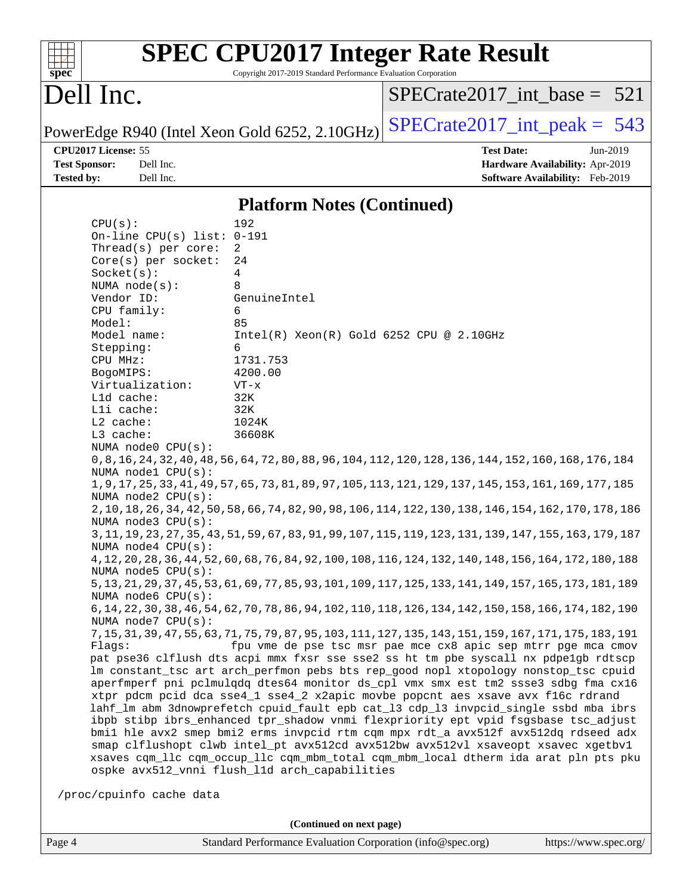| spec                 |                              | Copyright 2017-2019 Standard Performance Evaluation Corporation | <b>SPEC CPU2017 Integer Rate Result</b>                                                                                                                                  |
|----------------------|------------------------------|-----------------------------------------------------------------|--------------------------------------------------------------------------------------------------------------------------------------------------------------------------|
| Dell Inc.            |                              |                                                                 | $SPECrate2017\_int\_base = 521$                                                                                                                                          |
|                      |                              | PowerEdge R940 (Intel Xeon Gold 6252, 2.10GHz)                  | $SPECrate2017\_int\_peak = 543$                                                                                                                                          |
| CPU2017 License: 55  |                              |                                                                 | <b>Test Date:</b><br>Jun-2019                                                                                                                                            |
| <b>Test Sponsor:</b> | Dell Inc.                    |                                                                 | Hardware Availability: Apr-2019                                                                                                                                          |
| <b>Tested by:</b>    | Dell Inc.                    |                                                                 | Software Availability: Feb-2019                                                                                                                                          |
|                      |                              | <b>Platform Notes (Continued)</b>                               |                                                                                                                                                                          |
| CPU(s):              |                              | 192                                                             |                                                                                                                                                                          |
|                      | On-line CPU(s) list: $0-191$ |                                                                 |                                                                                                                                                                          |
|                      | Thread(s) per core:          | 2                                                               |                                                                                                                                                                          |
|                      | Core(s) per socket:          | 24                                                              |                                                                                                                                                                          |
| Socket(s):           | NUMA $node(s)$ :             | 4<br>8                                                          |                                                                                                                                                                          |
| Vendor ID:           |                              | GenuineIntel                                                    |                                                                                                                                                                          |
| CPU family:          |                              | 6                                                               |                                                                                                                                                                          |
| Model:               |                              | 85                                                              |                                                                                                                                                                          |
| Model name:          |                              | Intel(R) Xeon(R) Gold 6252 CPU @ 2.10GHz                        |                                                                                                                                                                          |
| Stepping:            |                              | 6                                                               |                                                                                                                                                                          |
| CPU MHz:             |                              | 1731.753                                                        |                                                                                                                                                                          |
| BogoMIPS:            | Virtualization:              | 4200.00<br>$VT - x$                                             |                                                                                                                                                                          |
| Lld cache:           |                              | 32K                                                             |                                                                                                                                                                          |
| Lli cache:           |                              | 32K                                                             |                                                                                                                                                                          |
| L2 cache:            |                              | 1024K                                                           |                                                                                                                                                                          |
| L3 cache:            |                              | 36608K                                                          |                                                                                                                                                                          |
|                      | NUMA node0 CPU(s):           |                                                                 |                                                                                                                                                                          |
|                      | NUMA nodel CPU(s):           |                                                                 | 0,8,16,24,32,40,48,56,64,72,80,88,96,104,112,120,128,136,144,152,160,168,176,184                                                                                         |
|                      |                              |                                                                 | 1, 9, 17, 25, 33, 41, 49, 57, 65, 73, 81, 89, 97, 105, 113, 121, 129, 137, 145, 153, 161, 169, 177, 185                                                                  |
|                      | NUMA node2 CPU(s):           |                                                                 |                                                                                                                                                                          |
|                      |                              |                                                                 | 2, 10, 18, 26, 34, 42, 50, 58, 66, 74, 82, 90, 98, 106, 114, 122, 130, 138, 146, 154, 162, 170, 178, 186                                                                 |
|                      | NUMA $node3$ $CPU(s)$ :      |                                                                 |                                                                                                                                                                          |
|                      |                              |                                                                 | 3, 11, 19, 23, 27, 35, 43, 51, 59, 67, 83, 91, 99, 107, 115, 119, 123, 131, 139, 147, 155, 163, 179, 187                                                                 |
|                      | NUMA node4 CPU(s):           |                                                                 | 4, 12, 20, 28, 36, 44, 52, 60, 68, 76, 84, 92, 100, 108, 116, 124, 132, 140, 148, 156, 164, 172, 180, 188                                                                |
|                      | NUMA $node5$ $CPU(s)$ :      |                                                                 |                                                                                                                                                                          |
|                      |                              |                                                                 | 5, 13, 21, 29, 37, 45, 53, 61, 69, 77, 85, 93, 101, 109, 117, 125, 133, 141, 149, 157, 165, 173, 181, 189                                                                |
|                      | NUMA $node6$ $CPU(s)$ :      |                                                                 |                                                                                                                                                                          |
|                      |                              |                                                                 | 6, 14, 22, 30, 38, 46, 54, 62, 70, 78, 86, 94, 102, 110, 118, 126, 134, 142, 150, 158, 166, 174, 182, 190                                                                |
|                      | NUMA node7 CPU(s):           |                                                                 |                                                                                                                                                                          |
|                      |                              |                                                                 |                                                                                                                                                                          |
| Flagg:               |                              |                                                                 | fpu vme de pse tsc msr pae mce cx8 apic sep mtrr pge mca cmov<br>pat pse36 clflush dts acpi mmx fxsr sse sse2 ss ht tm pbe syscall nx pdpelgb rdtscp                     |
|                      |                              |                                                                 | lm constant_tsc art arch_perfmon pebs bts rep_good nopl xtopology nonstop_tsc cpuid                                                                                      |
|                      |                              |                                                                 | aperfmperf pni pclmulqdq dtes64 monitor ds_cpl vmx smx est tm2 ssse3 sdbg fma cx16                                                                                       |
|                      |                              |                                                                 | xtpr pdcm pcid dca sse4_1 sse4_2 x2apic movbe popcnt aes xsave avx f16c rdrand                                                                                           |
|                      |                              |                                                                 | lahf_lm abm 3dnowprefetch cpuid_fault epb cat_13 cdp_13 invpcid_single ssbd mba ibrs                                                                                     |
|                      |                              |                                                                 | ibpb stibp ibrs_enhanced tpr_shadow vnmi flexpriority ept vpid fsgsbase tsc_adjust<br>bmil hle avx2 smep bmi2 erms invpcid rtm cqm mpx rdt_a avx512f avx512dq rdseed adx |

/proc/cpuinfo cache data

ospke avx512\_vnni flush\_l1d arch\_capabilities

**(Continued on next page)**

 smap clflushopt clwb intel\_pt avx512cd avx512bw avx512vl xsaveopt xsavec xgetbv1 xsaves cqm\_llc cqm\_occup\_llc cqm\_mbm\_total cqm\_mbm\_local dtherm ida arat pln pts pku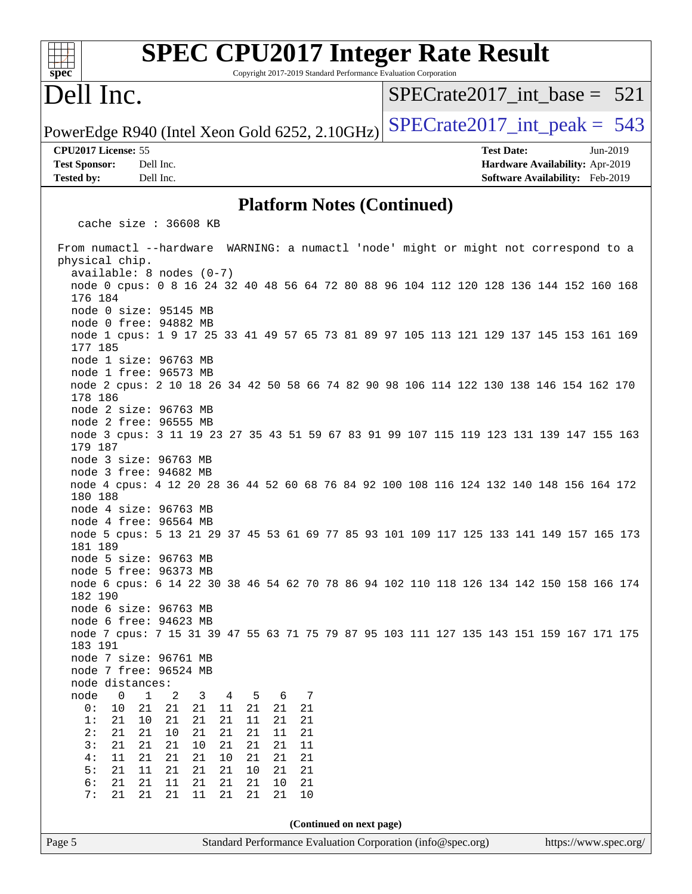| <b>SPEC CPU2017 Integer Rate Result</b><br>$spec*$<br>Copyright 2017-2019 Standard Performance Evaluation Corporation     |                                                                                                     |
|---------------------------------------------------------------------------------------------------------------------------|-----------------------------------------------------------------------------------------------------|
| Dell Inc.                                                                                                                 | $SPECrate2017$ int base = 521                                                                       |
| PowerEdge R940 (Intel Xeon Gold 6252, 2.10GHz)                                                                            | $SPECTate2017\_int\_peak = 543$                                                                     |
| CPU2017 License: 55<br><b>Test Sponsor:</b><br>Dell Inc.<br>Tested by:<br>Dell Inc.                                       | <b>Test Date:</b><br>Jun-2019<br>Hardware Availability: Apr-2019<br>Software Availability: Feb-2019 |
| <b>Platform Notes (Continued)</b>                                                                                         |                                                                                                     |
| cache size : 36608 KB                                                                                                     |                                                                                                     |
| From numactl --hardware WARNING: a numactl 'node' might or might not correspond to a                                      |                                                                                                     |
| physical chip.<br>$available: 8 nodes (0-7)$                                                                              |                                                                                                     |
| node 0 cpus: 0 8 16 24 32 40 48 56 64 72 80 88 96 104 112 120 128 136 144 152 160 168<br>176 184<br>node 0 size: 95145 MB |                                                                                                     |
| node 0 free: 94882 MB                                                                                                     |                                                                                                     |
| node 1 cpus: 1 9 17 25 33 41 49 57 65 73 81 89 97 105 113 121 129 137 145 153 161 169<br>177 185                          |                                                                                                     |
| node 1 size: 96763 MB<br>node 1 free: 96573 MB                                                                            |                                                                                                     |
| node 2 cpus: 2 10 18 26 34 42 50 58 66 74 82 90 98 106 114 122 130 138 146 154 162 170<br>178 186                         |                                                                                                     |
| node 2 size: 96763 MB<br>node 2 free: 96555 MB                                                                            |                                                                                                     |
| node 3 cpus: 3 11 19 23 27 35 43 51 59 67 83 91 99 107 115 119 123 131 139 147 155 163<br>179 187                         |                                                                                                     |
| node 3 size: 96763 MB<br>node 3 free: 94682 MB                                                                            |                                                                                                     |
| node 4 cpus: 4 12 20 28 36 44 52 60 68 76 84 92 100 108 116 124 132 140 148 156 164 172<br>180 188                        |                                                                                                     |
| node 4 size: 96763 MB<br>node 4 free: 96564 MB                                                                            |                                                                                                     |
| node 5 cpus: 5 13 21 29 37 45 53 61 69 77 85 93 101 109 117 125 133 141 149 157 165 173<br>181 189                        |                                                                                                     |
| node 5 size: 96763 MB<br>node 5 free: 96373 MB                                                                            |                                                                                                     |
| node 6 cpus: 6 14 22 30 38 46 54 62 70 78 86 94 102 110 118 126 134 142 150 158 166 174<br>182 190                        |                                                                                                     |
| node 6 size: 96763 MB<br>node 6 free: 94623 MB                                                                            |                                                                                                     |
| node 7 cpus: 7 15 31 39 47 55 63 71 75 79 87 95 103 111 127 135 143 151 159 167 171 175<br>183 191                        |                                                                                                     |
| node 7 size: 96761 MB<br>node 7 free: 96524 MB                                                                            |                                                                                                     |
| node distances:<br>node<br>1<br>2<br>6<br>7<br>0<br>3<br>5<br>4                                                           |                                                                                                     |
| 21<br>21<br>0:<br>10<br>21<br>21<br>21<br>21<br>11                                                                        |                                                                                                     |
| 1:<br>21<br>10<br>21<br>21<br>21<br>11<br>21<br>21<br>21<br>21<br>21<br>2:<br>21<br>10<br>21<br>21<br>11                  |                                                                                                     |
| 3:<br>21<br>21<br>21<br>21<br>10<br>21<br>21<br>11<br>11                                                                  |                                                                                                     |
| 21<br>10<br>4:<br>21<br>21<br>21<br>21<br>21<br>5:<br>21<br>11<br>21<br>21<br>21<br>10<br>21<br>21                        |                                                                                                     |
| 6:<br>21<br>21<br>21<br>21<br>21<br>10<br>21<br>11<br>21<br>7:<br>21<br>21<br>11<br>21<br>21<br>21<br>10                  |                                                                                                     |
| (Continued on next page)                                                                                                  |                                                                                                     |
| Page 5<br>Standard Performance Evaluation Corporation (info@spec.org)                                                     | https://www.spec.org/                                                                               |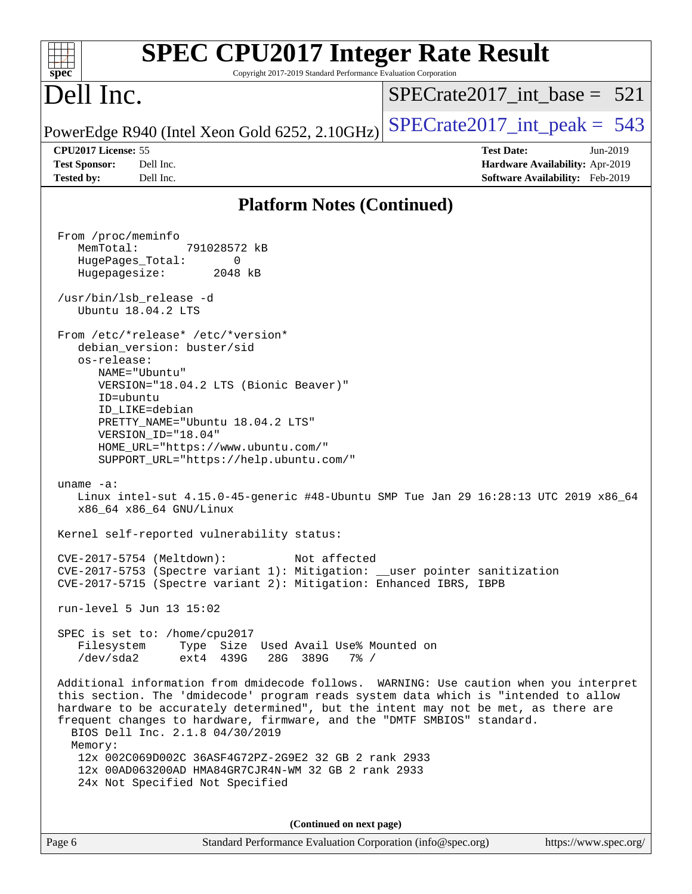| <b>SPEC CPU2017 Integer Rate Result</b><br>Copyright 2017-2019 Standard Performance Evaluation Corporation<br>spec <sup>®</sup>                                                                                                                                                                                                                                                                                                                                                                                                                |                                                                                                     |
|------------------------------------------------------------------------------------------------------------------------------------------------------------------------------------------------------------------------------------------------------------------------------------------------------------------------------------------------------------------------------------------------------------------------------------------------------------------------------------------------------------------------------------------------|-----------------------------------------------------------------------------------------------------|
| Dell Inc.                                                                                                                                                                                                                                                                                                                                                                                                                                                                                                                                      | $SPECrate2017$ int base = 521                                                                       |
| PowerEdge R940 (Intel Xeon Gold 6252, 2.10GHz)                                                                                                                                                                                                                                                                                                                                                                                                                                                                                                 | $SPECrate2017\_int\_peak = 543$                                                                     |
| CPU2017 License: 55<br>Dell Inc.<br><b>Test Sponsor:</b><br>Dell Inc.<br><b>Tested by:</b>                                                                                                                                                                                                                                                                                                                                                                                                                                                     | <b>Test Date:</b><br>Jun-2019<br>Hardware Availability: Apr-2019<br>Software Availability: Feb-2019 |
| <b>Platform Notes (Continued)</b>                                                                                                                                                                                                                                                                                                                                                                                                                                                                                                              |                                                                                                     |
| From /proc/meminfo<br>MemTotal:<br>791028572 kB<br>HugePages_Total:<br>0<br>Hugepagesize:<br>2048 kB<br>/usr/bin/lsb release -d<br>Ubuntu 18.04.2 LTS<br>From /etc/*release* /etc/*version*<br>debian_version: buster/sid<br>os-release:<br>NAME="Ubuntu"<br>VERSION="18.04.2 LTS (Bionic Beaver)"<br>ID=ubuntu<br>ID LIKE=debian<br>PRETTY_NAME="Ubuntu 18.04.2 LTS"<br>VERSION_ID="18.04"<br>HOME_URL="https://www.ubuntu.com/"<br>SUPPORT_URL="https://help.ubuntu.com/"                                                                    |                                                                                                     |
| uname $-a$ :<br>Linux intel-sut 4.15.0-45-generic #48-Ubuntu SMP Tue Jan 29 16:28:13 UTC 2019 x86_64<br>x86 64 x86 64 GNU/Linux                                                                                                                                                                                                                                                                                                                                                                                                                |                                                                                                     |
| Kernel self-reported vulnerability status:                                                                                                                                                                                                                                                                                                                                                                                                                                                                                                     |                                                                                                     |
| CVE-2017-5754 (Meltdown):<br>Not affected<br>CVE-2017-5753 (Spectre variant 1): Mitigation: __user pointer sanitization<br>CVE-2017-5715 (Spectre variant 2): Mitigation: Enhanced IBRS, IBPB                                                                                                                                                                                                                                                                                                                                                  |                                                                                                     |
| run-level 5 Jun 13 15:02                                                                                                                                                                                                                                                                                                                                                                                                                                                                                                                       |                                                                                                     |
| SPEC is set to: /home/cpu2017<br>Type Size Used Avail Use% Mounted on<br>Filesystem<br>ext4 439G<br>/dev/sda2<br>28G 389G<br>$7\frac{6}{6}$ /                                                                                                                                                                                                                                                                                                                                                                                                  |                                                                                                     |
| Additional information from dmidecode follows. WARNING: Use caution when you interpret<br>this section. The 'dmidecode' program reads system data which is "intended to allow<br>hardware to be accurately determined", but the intent may not be met, as there are<br>frequent changes to hardware, firmware, and the "DMTF SMBIOS" standard.<br>BIOS Dell Inc. 2.1.8 04/30/2019<br>Memory:<br>12x 002C069D002C 36ASF4G72PZ-2G9E2 32 GB 2 rank 2933<br>12x 00AD063200AD HMA84GR7CJR4N-WM 32 GB 2 rank 2933<br>24x Not Specified Not Specified |                                                                                                     |
|                                                                                                                                                                                                                                                                                                                                                                                                                                                                                                                                                |                                                                                                     |
| (Continued on next page)<br>Page 6<br>Standard Performance Evaluation Corporation (info@spec.org)                                                                                                                                                                                                                                                                                                                                                                                                                                              | https://www.spec.org/                                                                               |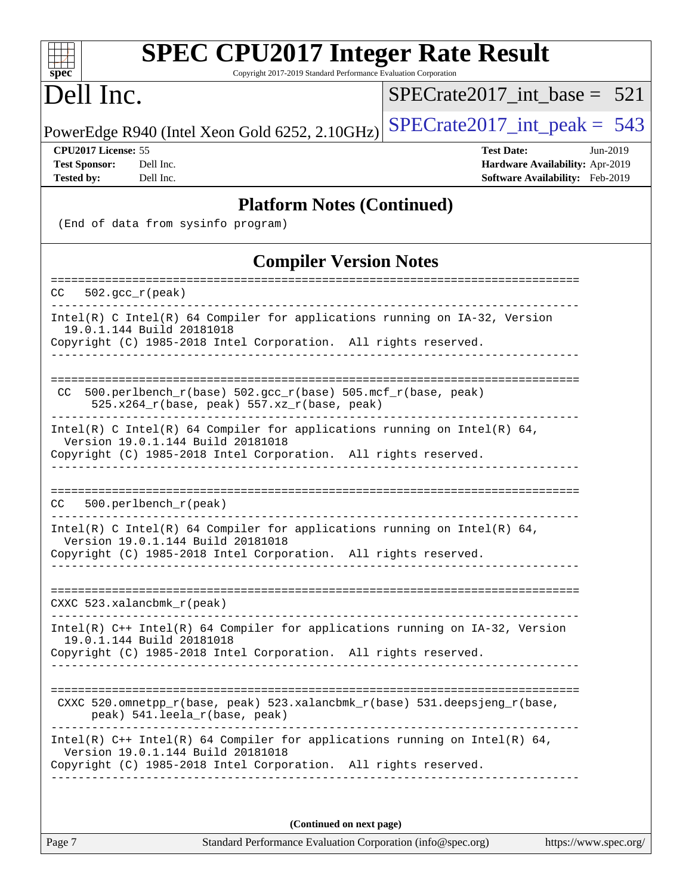| <b>SPEC CPU2017 Integer Rate Result</b><br>Copyright 2017-2019 Standard Performance Evaluation Corporation<br>spec <sup>®</sup>                                                                                    |                                                                                                     |
|--------------------------------------------------------------------------------------------------------------------------------------------------------------------------------------------------------------------|-----------------------------------------------------------------------------------------------------|
| Dell Inc.                                                                                                                                                                                                          | $SPECrate2017\_int\_base = 521$                                                                     |
| PowerEdge R940 (Intel Xeon Gold 6252, 2.10GHz)                                                                                                                                                                     | $SPECrate2017\_int\_peak = 543$                                                                     |
| CPU2017 License: 55<br>Dell Inc.<br><b>Test Sponsor:</b><br><b>Tested by:</b><br>Dell Inc.                                                                                                                         | <b>Test Date:</b><br>Jun-2019<br>Hardware Availability: Apr-2019<br>Software Availability: Feb-2019 |
| <b>Platform Notes (Continued)</b><br>(End of data from sysinfo program)                                                                                                                                            |                                                                                                     |
| <b>Compiler Version Notes</b>                                                                                                                                                                                      |                                                                                                     |
| $502. \text{gcc\_r}(\text{peak})$<br>CC.                                                                                                                                                                           |                                                                                                     |
| $Intel(R)$ C Intel(R) 64 Compiler for applications running on $IA-32$ , Version<br>19.0.1.144 Build 20181018<br>Copyright (C) 1985-2018 Intel Corporation. All rights reserved.                                    |                                                                                                     |
| 500.perlbench_r(base) 502.gcc_r(base) 505.mcf_r(base, peak)<br>CC.<br>525.x264_r(base, peak) 557.xz_r(base, peak)                                                                                                  |                                                                                                     |
| Intel(R) C Intel(R) 64 Compiler for applications running on Intel(R) 64,<br>Version 19.0.1.144 Build 20181018<br>Copyright (C) 1985-2018 Intel Corporation. All rights reserved.                                   |                                                                                                     |
| 500.perlbench_r(peak)<br>CC.                                                                                                                                                                                       |                                                                                                     |
| Intel(R) C Intel(R) 64 Compiler for applications running on Intel(R) 64,<br>Version 19.0.1.144 Build 20181018<br>Copyright (C) 1985-2018 Intel Corporation. All rights reserved.<br>______________________________ |                                                                                                     |
| $CXXC$ 523.xalancbmk $_r$ (peak)                                                                                                                                                                                   |                                                                                                     |
| Intel(R) C++ Intel(R) 64 Compiler for applications running on IA-32, Version<br>19.0.1.144 Build 20181018<br>Copyright (C) 1985-2018 Intel Corporation. All rights reserved.                                       |                                                                                                     |
| CXXC 520.omnetpp_r(base, peak) 523.xalancbmk_r(base) 531.deepsjeng_r(base,<br>peak) 541.leela_r(base, peak)                                                                                                        | ______________________________________                                                              |
| Intel(R) $C++$ Intel(R) 64 Compiler for applications running on Intel(R) 64,<br>Version 19.0.1.144 Build 20181018<br>Copyright (C) 1985-2018 Intel Corporation. All rights reserved.                               |                                                                                                     |
|                                                                                                                                                                                                                    |                                                                                                     |

Page 7 Standard Performance Evaluation Corporation [\(info@spec.org\)](mailto:info@spec.org) <https://www.spec.org/> **(Continued on next page)**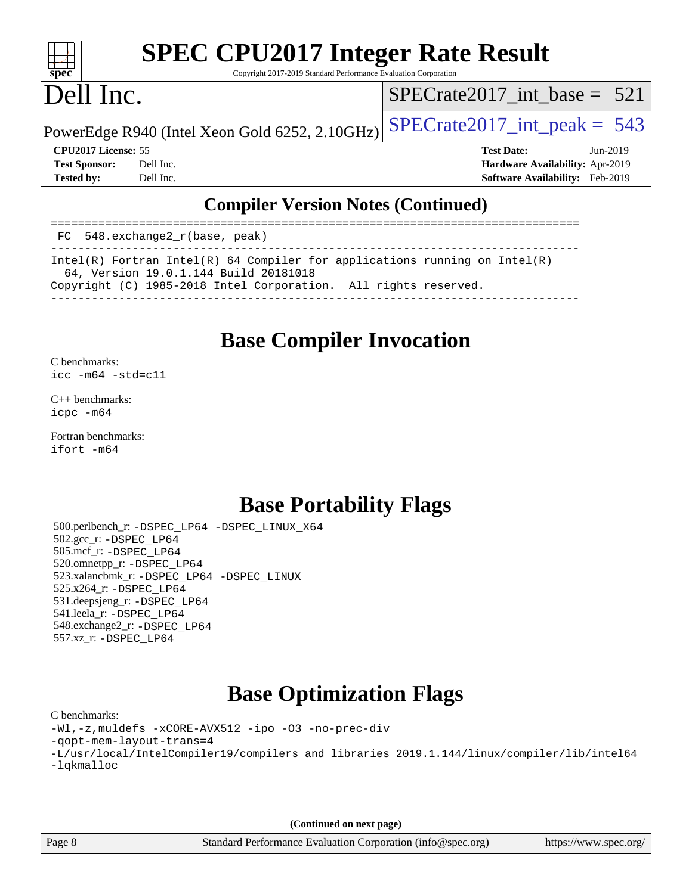

# **[SPEC CPU2017 Integer Rate Result](http://www.spec.org/auto/cpu2017/Docs/result-fields.html#SPECCPU2017IntegerRateResult)**

Copyright 2017-2019 Standard Performance Evaluation Corporation

## Dell Inc.

[SPECrate2017\\_int\\_base =](http://www.spec.org/auto/cpu2017/Docs/result-fields.html#SPECrate2017intbase) 521

PowerEdge R940 (Intel Xeon Gold 6252, 2.10GHz)  $\text{SPECrate}$  2017\_int\_peak = 543

**[CPU2017 License:](http://www.spec.org/auto/cpu2017/Docs/result-fields.html#CPU2017License)** 55 **[Test Date:](http://www.spec.org/auto/cpu2017/Docs/result-fields.html#TestDate)** Jun-2019 **[Test Sponsor:](http://www.spec.org/auto/cpu2017/Docs/result-fields.html#TestSponsor)** Dell Inc. **[Hardware Availability:](http://www.spec.org/auto/cpu2017/Docs/result-fields.html#HardwareAvailability)** Apr-2019 **[Tested by:](http://www.spec.org/auto/cpu2017/Docs/result-fields.html#Testedby)** Dell Inc. **[Software Availability:](http://www.spec.org/auto/cpu2017/Docs/result-fields.html#SoftwareAvailability)** Feb-2019

## **[Compiler Version Notes \(Continued\)](http://www.spec.org/auto/cpu2017/Docs/result-fields.html#CompilerVersionNotes)**

============================================================================== FC 548.exchange2\_r(base, peak) ------------------------------------------------------------------------------ Intel(R) Fortran Intel(R) 64 Compiler for applications running on Intel(R) 64, Version 19.0.1.144 Build 20181018 Copyright (C) 1985-2018 Intel Corporation. All rights reserved. ------------------------------------------------------------------------------

## **[Base Compiler Invocation](http://www.spec.org/auto/cpu2017/Docs/result-fields.html#BaseCompilerInvocation)**

[C benchmarks](http://www.spec.org/auto/cpu2017/Docs/result-fields.html#Cbenchmarks): [icc -m64 -std=c11](http://www.spec.org/cpu2017/results/res2019q3/cpu2017-20190624-15378.flags.html#user_CCbase_intel_icc_64bit_c11_33ee0cdaae7deeeab2a9725423ba97205ce30f63b9926c2519791662299b76a0318f32ddfffdc46587804de3178b4f9328c46fa7c2b0cd779d7a61945c91cd35)

[C++ benchmarks:](http://www.spec.org/auto/cpu2017/Docs/result-fields.html#CXXbenchmarks) [icpc -m64](http://www.spec.org/cpu2017/results/res2019q3/cpu2017-20190624-15378.flags.html#user_CXXbase_intel_icpc_64bit_4ecb2543ae3f1412ef961e0650ca070fec7b7afdcd6ed48761b84423119d1bf6bdf5cad15b44d48e7256388bc77273b966e5eb805aefd121eb22e9299b2ec9d9)

[Fortran benchmarks](http://www.spec.org/auto/cpu2017/Docs/result-fields.html#Fortranbenchmarks): [ifort -m64](http://www.spec.org/cpu2017/results/res2019q3/cpu2017-20190624-15378.flags.html#user_FCbase_intel_ifort_64bit_24f2bb282fbaeffd6157abe4f878425411749daecae9a33200eee2bee2fe76f3b89351d69a8130dd5949958ce389cf37ff59a95e7a40d588e8d3a57e0c3fd751)

## **[Base Portability Flags](http://www.spec.org/auto/cpu2017/Docs/result-fields.html#BasePortabilityFlags)**

 500.perlbench\_r: [-DSPEC\\_LP64](http://www.spec.org/cpu2017/results/res2019q3/cpu2017-20190624-15378.flags.html#b500.perlbench_r_basePORTABILITY_DSPEC_LP64) [-DSPEC\\_LINUX\\_X64](http://www.spec.org/cpu2017/results/res2019q3/cpu2017-20190624-15378.flags.html#b500.perlbench_r_baseCPORTABILITY_DSPEC_LINUX_X64) 502.gcc\_r: [-DSPEC\\_LP64](http://www.spec.org/cpu2017/results/res2019q3/cpu2017-20190624-15378.flags.html#suite_basePORTABILITY502_gcc_r_DSPEC_LP64) 505.mcf\_r: [-DSPEC\\_LP64](http://www.spec.org/cpu2017/results/res2019q3/cpu2017-20190624-15378.flags.html#suite_basePORTABILITY505_mcf_r_DSPEC_LP64) 520.omnetpp\_r: [-DSPEC\\_LP64](http://www.spec.org/cpu2017/results/res2019q3/cpu2017-20190624-15378.flags.html#suite_basePORTABILITY520_omnetpp_r_DSPEC_LP64) 523.xalancbmk\_r: [-DSPEC\\_LP64](http://www.spec.org/cpu2017/results/res2019q3/cpu2017-20190624-15378.flags.html#suite_basePORTABILITY523_xalancbmk_r_DSPEC_LP64) [-DSPEC\\_LINUX](http://www.spec.org/cpu2017/results/res2019q3/cpu2017-20190624-15378.flags.html#b523.xalancbmk_r_baseCXXPORTABILITY_DSPEC_LINUX) 525.x264\_r: [-DSPEC\\_LP64](http://www.spec.org/cpu2017/results/res2019q3/cpu2017-20190624-15378.flags.html#suite_basePORTABILITY525_x264_r_DSPEC_LP64) 531.deepsjeng\_r: [-DSPEC\\_LP64](http://www.spec.org/cpu2017/results/res2019q3/cpu2017-20190624-15378.flags.html#suite_basePORTABILITY531_deepsjeng_r_DSPEC_LP64) 541.leela\_r: [-DSPEC\\_LP64](http://www.spec.org/cpu2017/results/res2019q3/cpu2017-20190624-15378.flags.html#suite_basePORTABILITY541_leela_r_DSPEC_LP64) 548.exchange2\_r: [-DSPEC\\_LP64](http://www.spec.org/cpu2017/results/res2019q3/cpu2017-20190624-15378.flags.html#suite_basePORTABILITY548_exchange2_r_DSPEC_LP64) 557.xz\_r: [-DSPEC\\_LP64](http://www.spec.org/cpu2017/results/res2019q3/cpu2017-20190624-15378.flags.html#suite_basePORTABILITY557_xz_r_DSPEC_LP64)

## **[Base Optimization Flags](http://www.spec.org/auto/cpu2017/Docs/result-fields.html#BaseOptimizationFlags)**

### [C benchmarks](http://www.spec.org/auto/cpu2017/Docs/result-fields.html#Cbenchmarks):

```
-Wl,-z,muldefs -xCORE-AVX512 -ipo -O3 -no-prec-div
-qopt-mem-layout-trans=4
-L/usr/local/IntelCompiler19/compilers_and_libraries_2019.1.144/linux/compiler/lib/intel64
-lqkmalloc
```
**(Continued on next page)**

Page 8 Standard Performance Evaluation Corporation [\(info@spec.org\)](mailto:info@spec.org) <https://www.spec.org/>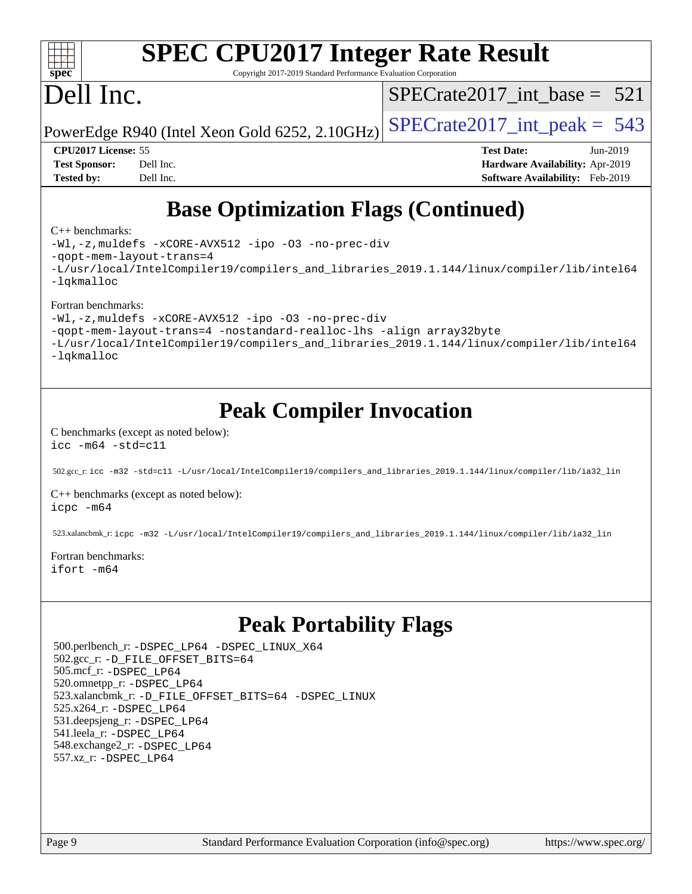

# **[SPEC CPU2017 Integer Rate Result](http://www.spec.org/auto/cpu2017/Docs/result-fields.html#SPECCPU2017IntegerRateResult)**

Copyright 2017-2019 Standard Performance Evaluation Corporation

## Dell Inc.

[SPECrate2017\\_int\\_base =](http://www.spec.org/auto/cpu2017/Docs/result-fields.html#SPECrate2017intbase) 521

PowerEdge R940 (Intel Xeon Gold 6252, 2.10GHz)  $\text{SPECrate}2017\_int\_peak = 543$ 

**[Tested by:](http://www.spec.org/auto/cpu2017/Docs/result-fields.html#Testedby)** Dell Inc. **[Software Availability:](http://www.spec.org/auto/cpu2017/Docs/result-fields.html#SoftwareAvailability)** Feb-2019

**[CPU2017 License:](http://www.spec.org/auto/cpu2017/Docs/result-fields.html#CPU2017License)** 55 **[Test Date:](http://www.spec.org/auto/cpu2017/Docs/result-fields.html#TestDate)** Jun-2019 **[Test Sponsor:](http://www.spec.org/auto/cpu2017/Docs/result-fields.html#TestSponsor)** Dell Inc. **[Hardware Availability:](http://www.spec.org/auto/cpu2017/Docs/result-fields.html#HardwareAvailability)** Apr-2019

## **[Base Optimization Flags \(Continued\)](http://www.spec.org/auto/cpu2017/Docs/result-fields.html#BaseOptimizationFlags)**

### [C++ benchmarks:](http://www.spec.org/auto/cpu2017/Docs/result-fields.html#CXXbenchmarks)

[-Wl,-z,muldefs](http://www.spec.org/cpu2017/results/res2019q3/cpu2017-20190624-15378.flags.html#user_CXXbase_link_force_multiple1_b4cbdb97b34bdee9ceefcfe54f4c8ea74255f0b02a4b23e853cdb0e18eb4525ac79b5a88067c842dd0ee6996c24547a27a4b99331201badda8798ef8a743f577) [-xCORE-AVX512](http://www.spec.org/cpu2017/results/res2019q3/cpu2017-20190624-15378.flags.html#user_CXXbase_f-xCORE-AVX512) [-ipo](http://www.spec.org/cpu2017/results/res2019q3/cpu2017-20190624-15378.flags.html#user_CXXbase_f-ipo) [-O3](http://www.spec.org/cpu2017/results/res2019q3/cpu2017-20190624-15378.flags.html#user_CXXbase_f-O3) [-no-prec-div](http://www.spec.org/cpu2017/results/res2019q3/cpu2017-20190624-15378.flags.html#user_CXXbase_f-no-prec-div) [-qopt-mem-layout-trans=4](http://www.spec.org/cpu2017/results/res2019q3/cpu2017-20190624-15378.flags.html#user_CXXbase_f-qopt-mem-layout-trans_fa39e755916c150a61361b7846f310bcdf6f04e385ef281cadf3647acec3f0ae266d1a1d22d972a7087a248fd4e6ca390a3634700869573d231a252c784941a8) [-L/usr/local/IntelCompiler19/compilers\\_and\\_libraries\\_2019.1.144/linux/compiler/lib/intel64](http://www.spec.org/cpu2017/results/res2019q3/cpu2017-20190624-15378.flags.html#user_CXXbase_qkmalloc_link_f25da0aa8cf9bced0533715046f0c2fbfb1a7191e3e496916672e09b4c388a884c4c7e4862cb529343da2264b43416df65c99fd1ddbf5dd13ae6d3130cf47881) [-lqkmalloc](http://www.spec.org/cpu2017/results/res2019q3/cpu2017-20190624-15378.flags.html#user_CXXbase_qkmalloc_link_lib_79a818439969f771c6bc311cfd333c00fc099dad35c030f5aab9dda831713d2015205805422f83de8875488a2991c0a156aaa600e1f9138f8fc37004abc96dc5)

### [Fortran benchmarks:](http://www.spec.org/auto/cpu2017/Docs/result-fields.html#Fortranbenchmarks)

[-Wl,-z,muldefs](http://www.spec.org/cpu2017/results/res2019q3/cpu2017-20190624-15378.flags.html#user_FCbase_link_force_multiple1_b4cbdb97b34bdee9ceefcfe54f4c8ea74255f0b02a4b23e853cdb0e18eb4525ac79b5a88067c842dd0ee6996c24547a27a4b99331201badda8798ef8a743f577) [-xCORE-AVX512](http://www.spec.org/cpu2017/results/res2019q3/cpu2017-20190624-15378.flags.html#user_FCbase_f-xCORE-AVX512) [-ipo](http://www.spec.org/cpu2017/results/res2019q3/cpu2017-20190624-15378.flags.html#user_FCbase_f-ipo) [-O3](http://www.spec.org/cpu2017/results/res2019q3/cpu2017-20190624-15378.flags.html#user_FCbase_f-O3) [-no-prec-div](http://www.spec.org/cpu2017/results/res2019q3/cpu2017-20190624-15378.flags.html#user_FCbase_f-no-prec-div)

[-qopt-mem-layout-trans=4](http://www.spec.org/cpu2017/results/res2019q3/cpu2017-20190624-15378.flags.html#user_FCbase_f-qopt-mem-layout-trans_fa39e755916c150a61361b7846f310bcdf6f04e385ef281cadf3647acec3f0ae266d1a1d22d972a7087a248fd4e6ca390a3634700869573d231a252c784941a8) [-nostandard-realloc-lhs](http://www.spec.org/cpu2017/results/res2019q3/cpu2017-20190624-15378.flags.html#user_FCbase_f_2003_std_realloc_82b4557e90729c0f113870c07e44d33d6f5a304b4f63d4c15d2d0f1fab99f5daaed73bdb9275d9ae411527f28b936061aa8b9c8f2d63842963b95c9dd6426b8a) [-align array32byte](http://www.spec.org/cpu2017/results/res2019q3/cpu2017-20190624-15378.flags.html#user_FCbase_align_array32byte_b982fe038af199962ba9a80c053b8342c548c85b40b8e86eb3cc33dee0d7986a4af373ac2d51c3f7cf710a18d62fdce2948f201cd044323541f22fc0fffc51b6)

[-L/usr/local/IntelCompiler19/compilers\\_and\\_libraries\\_2019.1.144/linux/compiler/lib/intel64](http://www.spec.org/cpu2017/results/res2019q3/cpu2017-20190624-15378.flags.html#user_FCbase_qkmalloc_link_f25da0aa8cf9bced0533715046f0c2fbfb1a7191e3e496916672e09b4c388a884c4c7e4862cb529343da2264b43416df65c99fd1ddbf5dd13ae6d3130cf47881) [-lqkmalloc](http://www.spec.org/cpu2017/results/res2019q3/cpu2017-20190624-15378.flags.html#user_FCbase_qkmalloc_link_lib_79a818439969f771c6bc311cfd333c00fc099dad35c030f5aab9dda831713d2015205805422f83de8875488a2991c0a156aaa600e1f9138f8fc37004abc96dc5)

## **[Peak Compiler Invocation](http://www.spec.org/auto/cpu2017/Docs/result-fields.html#PeakCompilerInvocation)**

#### [C benchmarks \(except as noted below\)](http://www.spec.org/auto/cpu2017/Docs/result-fields.html#Cbenchmarksexceptasnotedbelow): [icc -m64 -std=c11](http://www.spec.org/cpu2017/results/res2019q3/cpu2017-20190624-15378.flags.html#user_CCpeak_intel_icc_64bit_c11_33ee0cdaae7deeeab2a9725423ba97205ce30f63b9926c2519791662299b76a0318f32ddfffdc46587804de3178b4f9328c46fa7c2b0cd779d7a61945c91cd35)

502.gcc\_r: [icc -m32 -std=c11 -L/usr/local/IntelCompiler19/compilers\\_and\\_libraries\\_2019.1.144/linux/compiler/lib/ia32\\_lin](http://www.spec.org/cpu2017/results/res2019q3/cpu2017-20190624-15378.flags.html#user_peakCCLD502_gcc_r_intel_icc_40453ff6bf9521e1d4c2d3e2fb99253a88fa516366d57fe908127cec2d2803e1a519020f7199618d366f5331d17d60a40bdca38a56a807895183dcecb671b0e5)

[C++ benchmarks \(except as noted below\)](http://www.spec.org/auto/cpu2017/Docs/result-fields.html#CXXbenchmarksexceptasnotedbelow): [icpc -m64](http://www.spec.org/cpu2017/results/res2019q3/cpu2017-20190624-15378.flags.html#user_CXXpeak_intel_icpc_64bit_4ecb2543ae3f1412ef961e0650ca070fec7b7afdcd6ed48761b84423119d1bf6bdf5cad15b44d48e7256388bc77273b966e5eb805aefd121eb22e9299b2ec9d9)

523.xalancbmk\_r: [icpc -m32 -L/usr/local/IntelCompiler19/compilers\\_and\\_libraries\\_2019.1.144/linux/compiler/lib/ia32\\_lin](http://www.spec.org/cpu2017/results/res2019q3/cpu2017-20190624-15378.flags.html#user_peakCXXLD523_xalancbmk_r_intel_icpc_da1545662a59c569b62a27824af614167f9a0289efc0155d279b219af3bd2ccb3c10a77eb36bcb264d681e48d9166bbcec9d21ef2c85e5a63a687a8887ddded7)

#### [Fortran benchmarks](http://www.spec.org/auto/cpu2017/Docs/result-fields.html#Fortranbenchmarks): [ifort -m64](http://www.spec.org/cpu2017/results/res2019q3/cpu2017-20190624-15378.flags.html#user_FCpeak_intel_ifort_64bit_24f2bb282fbaeffd6157abe4f878425411749daecae9a33200eee2bee2fe76f3b89351d69a8130dd5949958ce389cf37ff59a95e7a40d588e8d3a57e0c3fd751)

## **[Peak Portability Flags](http://www.spec.org/auto/cpu2017/Docs/result-fields.html#PeakPortabilityFlags)**

 500.perlbench\_r: [-DSPEC\\_LP64](http://www.spec.org/cpu2017/results/res2019q3/cpu2017-20190624-15378.flags.html#b500.perlbench_r_peakPORTABILITY_DSPEC_LP64) [-DSPEC\\_LINUX\\_X64](http://www.spec.org/cpu2017/results/res2019q3/cpu2017-20190624-15378.flags.html#b500.perlbench_r_peakCPORTABILITY_DSPEC_LINUX_X64) 502.gcc\_r: [-D\\_FILE\\_OFFSET\\_BITS=64](http://www.spec.org/cpu2017/results/res2019q3/cpu2017-20190624-15378.flags.html#user_peakPORTABILITY502_gcc_r_file_offset_bits_64_5ae949a99b284ddf4e95728d47cb0843d81b2eb0e18bdfe74bbf0f61d0b064f4bda2f10ea5eb90e1dcab0e84dbc592acfc5018bc955c18609f94ddb8d550002c) 505.mcf\_r: [-DSPEC\\_LP64](http://www.spec.org/cpu2017/results/res2019q3/cpu2017-20190624-15378.flags.html#suite_peakPORTABILITY505_mcf_r_DSPEC_LP64) 520.omnetpp\_r: [-DSPEC\\_LP64](http://www.spec.org/cpu2017/results/res2019q3/cpu2017-20190624-15378.flags.html#suite_peakPORTABILITY520_omnetpp_r_DSPEC_LP64) 523.xalancbmk\_r: [-D\\_FILE\\_OFFSET\\_BITS=64](http://www.spec.org/cpu2017/results/res2019q3/cpu2017-20190624-15378.flags.html#user_peakPORTABILITY523_xalancbmk_r_file_offset_bits_64_5ae949a99b284ddf4e95728d47cb0843d81b2eb0e18bdfe74bbf0f61d0b064f4bda2f10ea5eb90e1dcab0e84dbc592acfc5018bc955c18609f94ddb8d550002c) [-DSPEC\\_LINUX](http://www.spec.org/cpu2017/results/res2019q3/cpu2017-20190624-15378.flags.html#b523.xalancbmk_r_peakCXXPORTABILITY_DSPEC_LINUX) 525.x264\_r: [-DSPEC\\_LP64](http://www.spec.org/cpu2017/results/res2019q3/cpu2017-20190624-15378.flags.html#suite_peakPORTABILITY525_x264_r_DSPEC_LP64) 531.deepsjeng\_r: [-DSPEC\\_LP64](http://www.spec.org/cpu2017/results/res2019q3/cpu2017-20190624-15378.flags.html#suite_peakPORTABILITY531_deepsjeng_r_DSPEC_LP64) 541.leela\_r: [-DSPEC\\_LP64](http://www.spec.org/cpu2017/results/res2019q3/cpu2017-20190624-15378.flags.html#suite_peakPORTABILITY541_leela_r_DSPEC_LP64) 548.exchange2\_r: [-DSPEC\\_LP64](http://www.spec.org/cpu2017/results/res2019q3/cpu2017-20190624-15378.flags.html#suite_peakPORTABILITY548_exchange2_r_DSPEC_LP64) 557.xz\_r: [-DSPEC\\_LP64](http://www.spec.org/cpu2017/results/res2019q3/cpu2017-20190624-15378.flags.html#suite_peakPORTABILITY557_xz_r_DSPEC_LP64)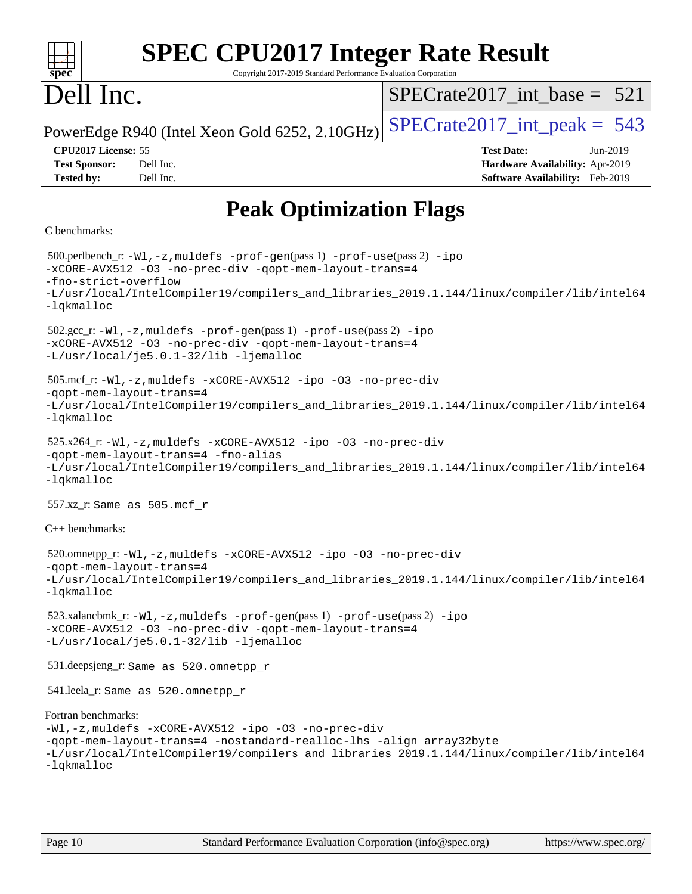| <b>SPEC CPU2017 Integer Rate Result</b><br>spec <sup>®</sup><br>Copyright 2017-2019 Standard Performance Evaluation Corporation                                                                                                                                           |                                                                                                     |
|---------------------------------------------------------------------------------------------------------------------------------------------------------------------------------------------------------------------------------------------------------------------------|-----------------------------------------------------------------------------------------------------|
| Dell Inc.                                                                                                                                                                                                                                                                 | $SPECrate2017$ int base = 521                                                                       |
| PowerEdge R940 (Intel Xeon Gold 6252, 2.10GHz)                                                                                                                                                                                                                            | $SPECrate2017\_int\_peak = 543$                                                                     |
| CPU2017 License: 55<br>Dell Inc.<br><b>Test Sponsor:</b><br><b>Tested by:</b><br>Dell Inc.                                                                                                                                                                                | <b>Test Date:</b><br>Jun-2019<br>Hardware Availability: Apr-2019<br>Software Availability: Feb-2019 |
| <b>Peak Optimization Flags</b>                                                                                                                                                                                                                                            |                                                                                                     |
| C benchmarks:                                                                                                                                                                                                                                                             |                                                                                                     |
| 500.perlbench_r: -Wl, -z, muldefs -prof-gen(pass 1) -prof-use(pass 2) -ipo<br>-xCORE-AVX512 -03 -no-prec-div -qopt-mem-layout-trans=4<br>-fno-strict-overflow<br>-L/usr/local/IntelCompiler19/compilers_and_libraries_2019.1.144/linux/compiler/lib/intel64<br>-lqkmalloc |                                                                                                     |
| $502.\text{sec\_r: } -W1$ , $-z$ , muldefs $-prof-gen(pass 1)$ $-prof-use(pass 2)$ $-ipo$<br>-xCORE-AVX512 -03 -no-prec-div -qopt-mem-layout-trans=4<br>-L/usr/local/je5.0.1-32/lib -ljemalloc                                                                            |                                                                                                     |
| 505.mcf_r:-Wl,-z,muldefs -xCORE-AVX512 -ipo -03 -no-prec-div<br>-qopt-mem-layout-trans=4<br>-L/usr/local/IntelCompiler19/compilers_and_libraries_2019.1.144/linux/compiler/lib/intel64<br>-lqkmalloc                                                                      |                                                                                                     |
| 525.x264_r: -Wl, -z, muldefs -xCORE-AVX512 -ipo -03 -no-prec-div<br>-qopt-mem-layout-trans=4 -fno-alias<br>-L/usr/local/IntelCompiler19/compilers_and_libraries_2019.1.144/linux/compiler/lib/intel64<br>-lqkmalloc                                                       |                                                                                                     |
| 557.xz_r: Same as 505.mcf r                                                                                                                                                                                                                                               |                                                                                                     |
| $C++$ benchmarks:                                                                                                                                                                                                                                                         |                                                                                                     |
| $520.0$ mnetpp_r: -Wl, -z, muldefs -xCORE-AVX512 -ipo -O3 -no-prec-div<br>-gopt-mem-layout-trans=4<br>-L/usr/local/IntelCompiler19/compilers_and_libraries_2019.1.144/linux/compiler/lib/intel64<br>$-lq$ kmalloc                                                         |                                                                                                     |
| 523.xalancbmk_r:-Wl,-z,muldefs -prof-gen(pass 1) -prof-use(pass 2) -ipo<br>-xCORE-AVX512 -03 -no-prec-div -qopt-mem-layout-trans=4<br>-L/usr/local/je5.0.1-32/lib -ljemalloc                                                                                              |                                                                                                     |
| 531.deepsjeng_r: Same as 520.omnetpp_r                                                                                                                                                                                                                                    |                                                                                                     |
| 541.leela_r: Same as 520.omnetpp_r                                                                                                                                                                                                                                        |                                                                                                     |
| Fortran benchmarks:<br>-Wl,-z, muldefs -xCORE-AVX512 -ipo -03 -no-prec-div<br>-qopt-mem-layout-trans=4 -nostandard-realloc-lhs -align array32byte<br>-L/usr/local/IntelCompiler19/compilers_and_libraries_2019.1.144/linux/compiler/lib/intel64<br>-lqkmalloc             |                                                                                                     |
|                                                                                                                                                                                                                                                                           |                                                                                                     |